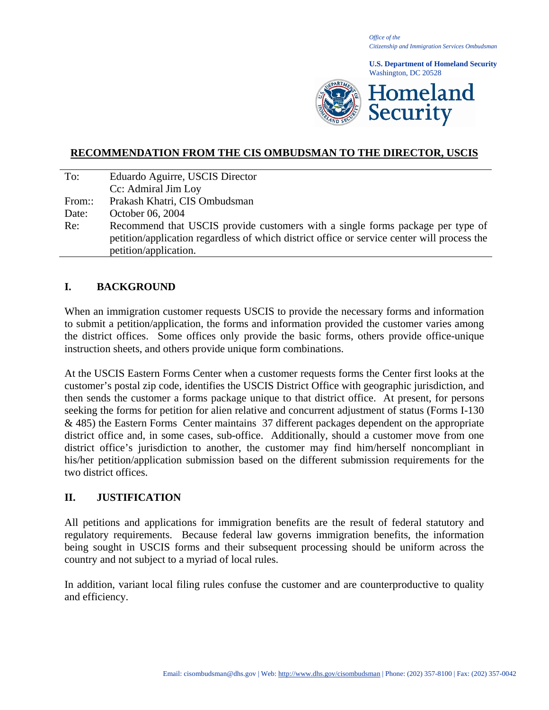*Office of the Citizenship and Immigration Services Ombudsman*

**U.S. Department of Homeland Security** Washington, DC 20528



# **RECOMMENDATION FROM THE CIS OMBUDSMAN TO THE DIRECTOR, USCIS**

| To:    | Eduardo Aguirre, USCIS Director                                                                                                                                               |
|--------|-------------------------------------------------------------------------------------------------------------------------------------------------------------------------------|
|        | Cc: Admiral Jim Loy                                                                                                                                                           |
| From:: | Prakash Khatri, CIS Ombudsman                                                                                                                                                 |
| Date:  | October 06, 2004                                                                                                                                                              |
| Re:    | Recommend that USCIS provide customers with a single forms package per type of<br>petition/application regardless of which district office or service center will process the |
|        | petition/application.                                                                                                                                                         |

### **I. BACKGROUND**

When an immigration customer requests USCIS to provide the necessary forms and information to submit a petition/application, the forms and information provided the customer varies among the district offices. Some offices only provide the basic forms, others provide office-unique instruction sheets, and others provide unique form combinations.

At the USCIS Eastern Forms Center when a customer requests forms the Center first looks at the customer's postal zip code, identifies the USCIS District Office with geographic jurisdiction, and then sends the customer a forms package unique to that district office. At present, for persons seeking the forms for petition for alien relative and concurrent adjustment of status (Forms I-130 & 485) the Eastern Forms Center maintains 37 different packages dependent on the appropriate district office and, in some cases, sub-office. Additionally, should a customer move from one district office's jurisdiction to another, the customer may find him/herself noncompliant in his/her petition/application submission based on the different submission requirements for the two district offices.

### **II. JUSTIFICATION**

All petitions and applications for immigration benefits are the result of federal statutory and regulatory requirements. Because federal law governs immigration benefits, the information being sought in USCIS forms and their subsequent processing should be uniform across the country and not subject to a myriad of local rules.

In addition, variant local filing rules confuse the customer and are counterproductive to quality and efficiency.